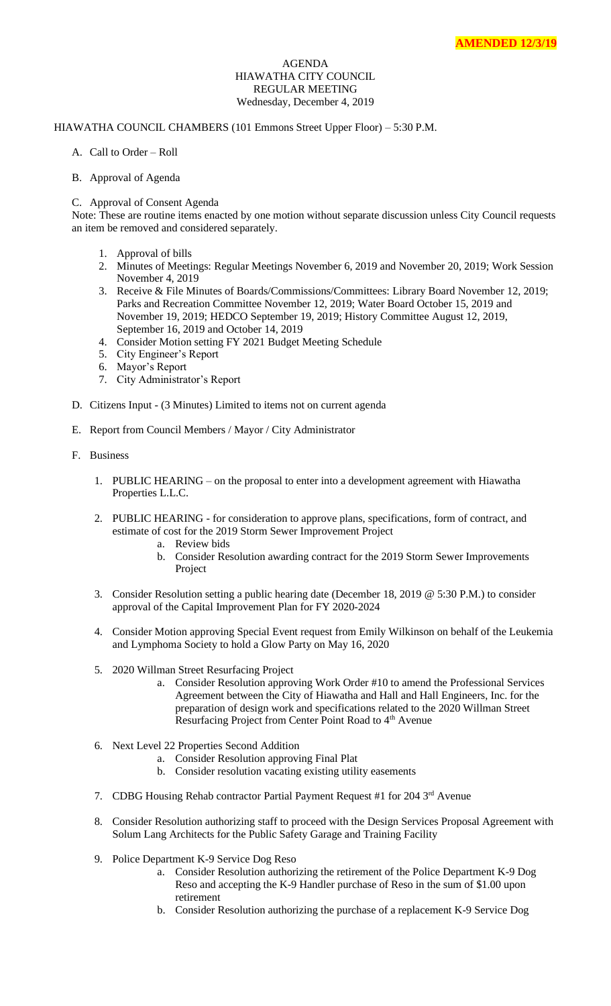## AGENDA HIAWATHA CITY COUNCIL REGULAR MEETING Wednesday, December 4, 2019

## HIAWATHA COUNCIL CHAMBERS (101 Emmons Street Upper Floor) – 5:30 P.M.

- A. Call to Order Roll
- B. Approval of Agenda
- C. Approval of Consent Agenda

Note: These are routine items enacted by one motion without separate discussion unless City Council requests an item be removed and considered separately.

- 1. Approval of bills
- 2. Minutes of Meetings: Regular Meetings November 6, 2019 and November 20, 2019; Work Session November 4, 2019
- 3. Receive & File Minutes of Boards/Commissions/Committees: Library Board November 12, 2019; Parks and Recreation Committee November 12, 2019; Water Board October 15, 2019 and November 19, 2019; HEDCO September 19, 2019; History Committee August 12, 2019, September 16, 2019 and October 14, 2019
- 4. Consider Motion setting FY 2021 Budget Meeting Schedule
- 5. City Engineer's Report
- 6. Mayor's Report
- 7. City Administrator's Report
- D. Citizens Input (3 Minutes) Limited to items not on current agenda
- E. Report from Council Members / Mayor / City Administrator
- F. Business
	- 1. PUBLIC HEARING on the proposal to enter into a development agreement with Hiawatha Properties L.L.C.
	- 2. PUBLIC HEARING for consideration to approve plans, specifications, form of contract, and estimate of cost for the 2019 Storm Sewer Improvement Project
		- a. Review bids
		- b. Consider Resolution awarding contract for the 2019 Storm Sewer Improvements Project
	- 3. Consider Resolution setting a public hearing date (December 18, 2019 @ 5:30 P.M.) to consider approval of the Capital Improvement Plan for FY 2020-2024
	- 4. Consider Motion approving Special Event request from Emily Wilkinson on behalf of the Leukemia and Lymphoma Society to hold a Glow Party on May 16, 2020
	- 5. 2020 Willman Street Resurfacing Project
		- a. Consider Resolution approving Work Order #10 to amend the Professional Services Agreement between the City of Hiawatha and Hall and Hall Engineers, Inc. for the preparation of design work and specifications related to the 2020 Willman Street Resurfacing Project from Center Point Road to 4<sup>th</sup> Avenue
	- 6. Next Level 22 Properties Second Addition
		- a. Consider Resolution approving Final Plat
		- b. Consider resolution vacating existing utility easements
	- 7. CDBG Housing Rehab contractor Partial Payment Request #1 for 204 3<sup>rd</sup> Avenue
	- 8. Consider Resolution authorizing staff to proceed with the Design Services Proposal Agreement with Solum Lang Architects for the Public Safety Garage and Training Facility
	- 9. Police Department K-9 Service Dog Reso
		- a. Consider Resolution authorizing the retirement of the Police Department K-9 Dog Reso and accepting the K-9 Handler purchase of Reso in the sum of \$1.00 upon retirement
		- b. Consider Resolution authorizing the purchase of a replacement K-9 Service Dog